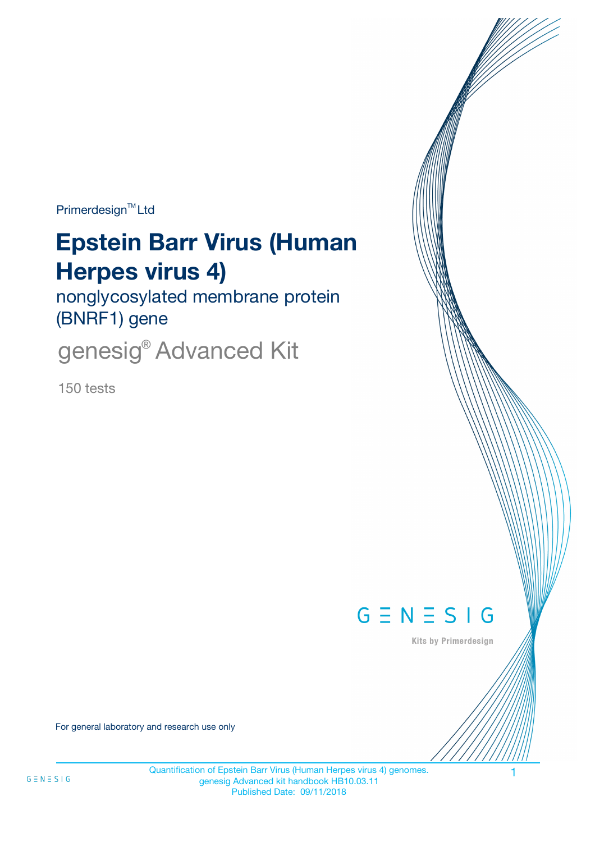Primerdesign<sup>™</sup>Ltd

# **Epstein Barr Virus (Human Herpes virus 4)**

nonglycosylated membrane protein (BNRF1) gene

genesig® Advanced Kit

150 tests



Kits by Primerdesign

For general laboratory and research use only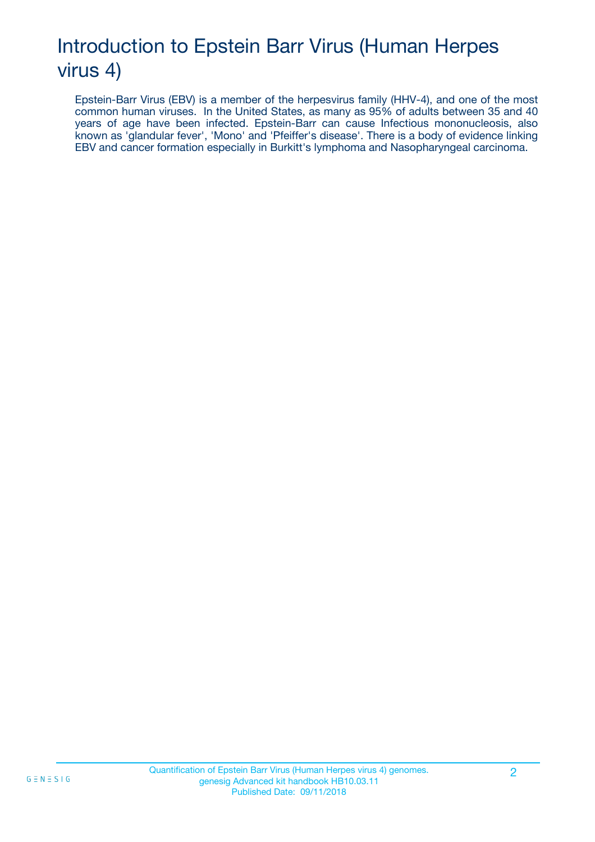## Introduction to Epstein Barr Virus (Human Herpes virus 4)

Epstein-Barr Virus (EBV) is a member of the herpesvirus family (HHV-4), and one of the most common human viruses. In the United States, as many as 95% of adults between 35 and 40 years of age have been infected. Epstein-Barr can cause Infectious mononucleosis, also known as 'glandular fever', 'Mono' and 'Pfeiffer's disease'. There is a body of evidence linking EBV and cancer formation especially in Burkitt's lymphoma and Nasopharyngeal carcinoma.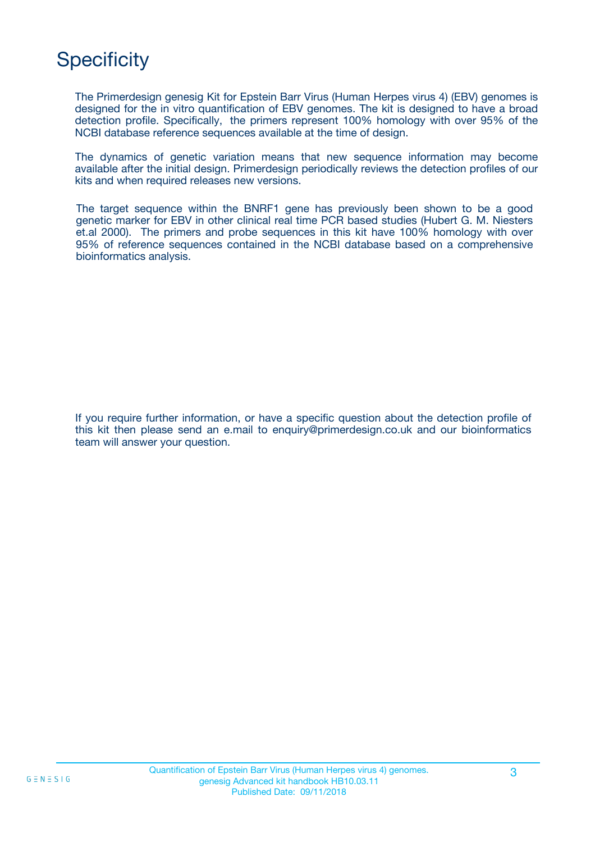## **Specificity**

The Primerdesign genesig Kit for Epstein Barr Virus (Human Herpes virus 4) (EBV) genomes is designed for the in vitro quantification of EBV genomes. The kit is designed to have a broad detection profile. Specifically, the primers represent 100% homology with over 95% of the NCBI database reference sequences available at the time of design.

The dynamics of genetic variation means that new sequence information may become available after the initial design. Primerdesign periodically reviews the detection profiles of our kits and when required releases new versions.

The target sequence within the BNRF1 gene has previously been shown to be a good genetic marker for EBV in other clinical real time PCR based studies (Hubert G. M. Niesters et.al 2000). The primers and probe sequences in this kit have 100% homology with over 95% of reference sequences contained in the NCBI database based on a comprehensive bioinformatics analysis.

If you require further information, or have a specific question about the detection profile of this kit then please send an e.mail to enquiry@primerdesign.co.uk and our bioinformatics team will answer your question.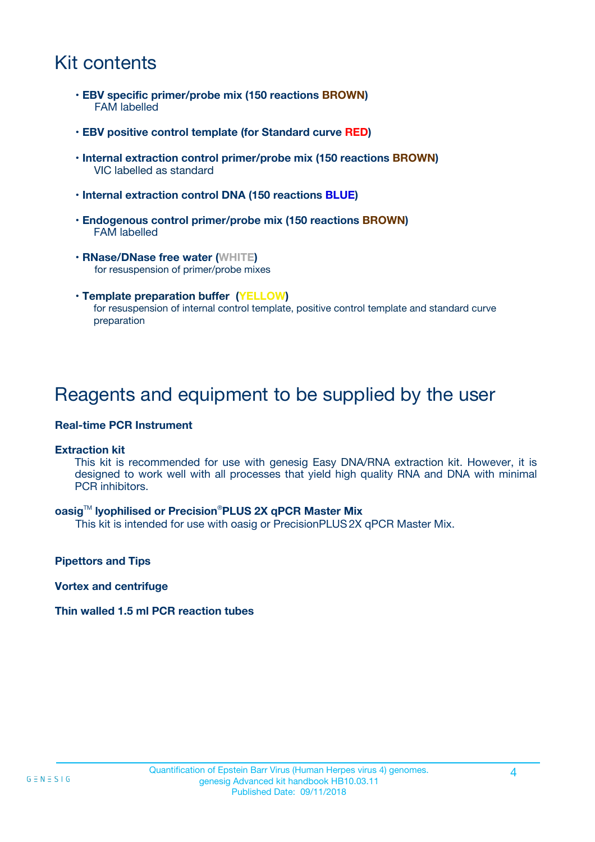### Kit contents

- **EBV specific primer/probe mix (150 reactions BROWN)** FAM labelled
- **EBV positive control template (for Standard curve RED)**
- **Internal extraction control primer/probe mix (150 reactions BROWN)** VIC labelled as standard
- **Internal extraction control DNA (150 reactions BLUE)**
- **Endogenous control primer/probe mix (150 reactions BROWN)** FAM labelled
- **RNase/DNase free water (WHITE)** for resuspension of primer/probe mixes
- **Template preparation buffer (YELLOW)** for resuspension of internal control template, positive control template and standard curve preparation

### Reagents and equipment to be supplied by the user

#### **Real-time PCR Instrument**

#### **Extraction kit**

This kit is recommended for use with genesig Easy DNA/RNA extraction kit. However, it is designed to work well with all processes that yield high quality RNA and DNA with minimal PCR inhibitors.

#### **oasig**TM **lyophilised or Precision**®**PLUS 2X qPCR Master Mix**

This kit is intended for use with oasig or PrecisionPLUS2X qPCR Master Mix.

**Pipettors and Tips**

**Vortex and centrifuge**

#### **Thin walled 1.5 ml PCR reaction tubes**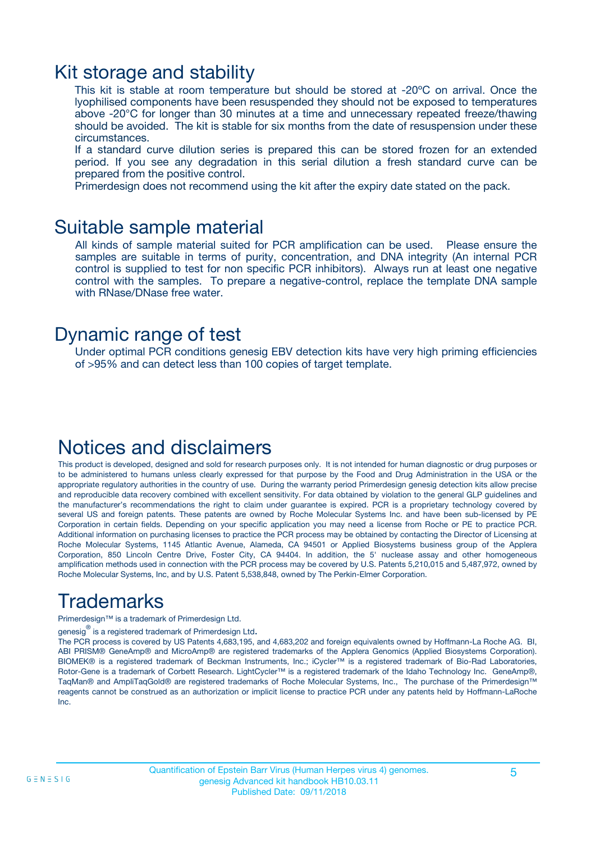### Kit storage and stability

This kit is stable at room temperature but should be stored at -20ºC on arrival. Once the lyophilised components have been resuspended they should not be exposed to temperatures above -20°C for longer than 30 minutes at a time and unnecessary repeated freeze/thawing should be avoided. The kit is stable for six months from the date of resuspension under these circumstances.

If a standard curve dilution series is prepared this can be stored frozen for an extended period. If you see any degradation in this serial dilution a fresh standard curve can be prepared from the positive control.

Primerdesign does not recommend using the kit after the expiry date stated on the pack.

### Suitable sample material

All kinds of sample material suited for PCR amplification can be used. Please ensure the samples are suitable in terms of purity, concentration, and DNA integrity (An internal PCR control is supplied to test for non specific PCR inhibitors). Always run at least one negative control with the samples. To prepare a negative-control, replace the template DNA sample with RNase/DNase free water.

### Dynamic range of test

Under optimal PCR conditions genesig EBV detection kits have very high priming efficiencies of >95% and can detect less than 100 copies of target template.

### Notices and disclaimers

This product is developed, designed and sold for research purposes only. It is not intended for human diagnostic or drug purposes or to be administered to humans unless clearly expressed for that purpose by the Food and Drug Administration in the USA or the appropriate regulatory authorities in the country of use. During the warranty period Primerdesign genesig detection kits allow precise and reproducible data recovery combined with excellent sensitivity. For data obtained by violation to the general GLP guidelines and the manufacturer's recommendations the right to claim under guarantee is expired. PCR is a proprietary technology covered by several US and foreign patents. These patents are owned by Roche Molecular Systems Inc. and have been sub-licensed by PE Corporation in certain fields. Depending on your specific application you may need a license from Roche or PE to practice PCR. Additional information on purchasing licenses to practice the PCR process may be obtained by contacting the Director of Licensing at Roche Molecular Systems, 1145 Atlantic Avenue, Alameda, CA 94501 or Applied Biosystems business group of the Applera Corporation, 850 Lincoln Centre Drive, Foster City, CA 94404. In addition, the 5' nuclease assay and other homogeneous amplification methods used in connection with the PCR process may be covered by U.S. Patents 5,210,015 and 5,487,972, owned by Roche Molecular Systems, Inc, and by U.S. Patent 5,538,848, owned by The Perkin-Elmer Corporation.

## Trademarks

Primerdesign™ is a trademark of Primerdesign Ltd.

genesig $^\circledR$  is a registered trademark of Primerdesign Ltd.

The PCR process is covered by US Patents 4,683,195, and 4,683,202 and foreign equivalents owned by Hoffmann-La Roche AG. BI, ABI PRISM® GeneAmp® and MicroAmp® are registered trademarks of the Applera Genomics (Applied Biosystems Corporation). BIOMEK® is a registered trademark of Beckman Instruments, Inc.; iCycler™ is a registered trademark of Bio-Rad Laboratories, Rotor-Gene is a trademark of Corbett Research. LightCycler™ is a registered trademark of the Idaho Technology Inc. GeneAmp®, TaqMan® and AmpliTaqGold® are registered trademarks of Roche Molecular Systems, Inc., The purchase of the Primerdesign™ reagents cannot be construed as an authorization or implicit license to practice PCR under any patents held by Hoffmann-LaRoche Inc.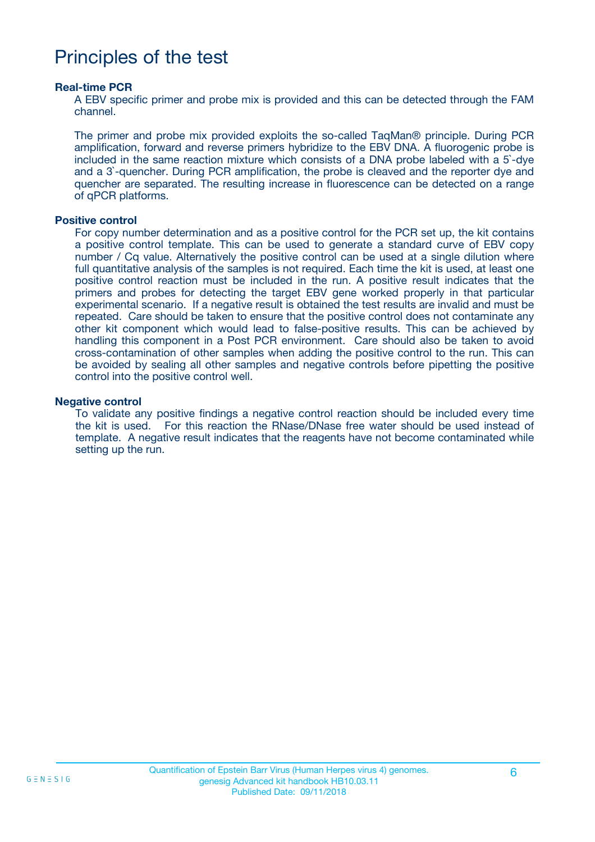### Principles of the test

#### **Real-time PCR**

A EBV specific primer and probe mix is provided and this can be detected through the FAM channel.

The primer and probe mix provided exploits the so-called TaqMan® principle. During PCR amplification, forward and reverse primers hybridize to the EBV DNA. A fluorogenic probe is included in the same reaction mixture which consists of a DNA probe labeled with a 5`-dye and a 3`-quencher. During PCR amplification, the probe is cleaved and the reporter dye and quencher are separated. The resulting increase in fluorescence can be detected on a range of qPCR platforms.

#### **Positive control**

For copy number determination and as a positive control for the PCR set up, the kit contains a positive control template. This can be used to generate a standard curve of EBV copy number / Cq value. Alternatively the positive control can be used at a single dilution where full quantitative analysis of the samples is not required. Each time the kit is used, at least one positive control reaction must be included in the run. A positive result indicates that the primers and probes for detecting the target EBV gene worked properly in that particular experimental scenario. If a negative result is obtained the test results are invalid and must be repeated. Care should be taken to ensure that the positive control does not contaminate any other kit component which would lead to false-positive results. This can be achieved by handling this component in a Post PCR environment. Care should also be taken to avoid cross-contamination of other samples when adding the positive control to the run. This can be avoided by sealing all other samples and negative controls before pipetting the positive control into the positive control well.

#### **Negative control**

To validate any positive findings a negative control reaction should be included every time the kit is used. For this reaction the RNase/DNase free water should be used instead of template. A negative result indicates that the reagents have not become contaminated while setting up the run.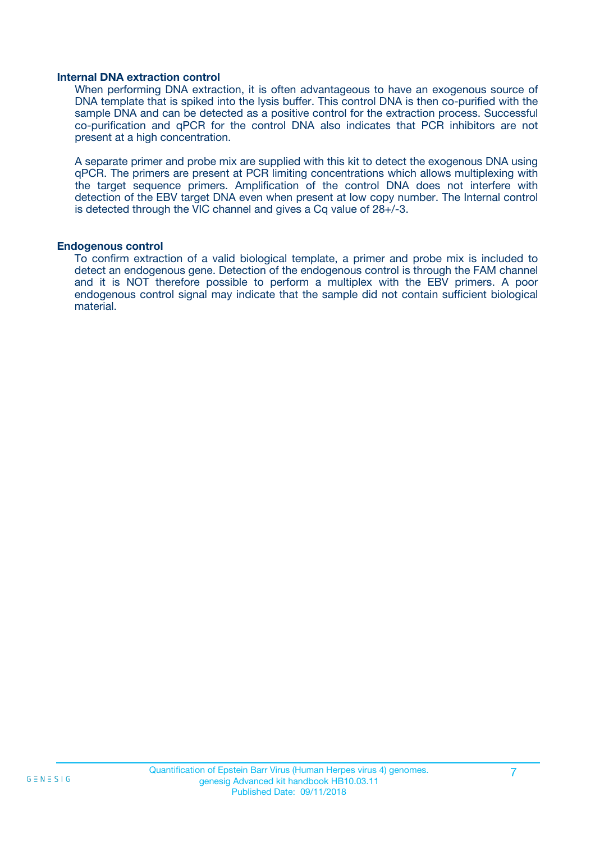#### **Internal DNA extraction control**

When performing DNA extraction, it is often advantageous to have an exogenous source of DNA template that is spiked into the lysis buffer. This control DNA is then co-purified with the sample DNA and can be detected as a positive control for the extraction process. Successful co-purification and qPCR for the control DNA also indicates that PCR inhibitors are not present at a high concentration.

A separate primer and probe mix are supplied with this kit to detect the exogenous DNA using qPCR. The primers are present at PCR limiting concentrations which allows multiplexing with the target sequence primers. Amplification of the control DNA does not interfere with detection of the EBV target DNA even when present at low copy number. The Internal control is detected through the VIC channel and gives a Cq value of 28+/-3.

#### **Endogenous control**

To confirm extraction of a valid biological template, a primer and probe mix is included to detect an endogenous gene. Detection of the endogenous control is through the FAM channel and it is NOT therefore possible to perform a multiplex with the EBV primers. A poor endogenous control signal may indicate that the sample did not contain sufficient biological material.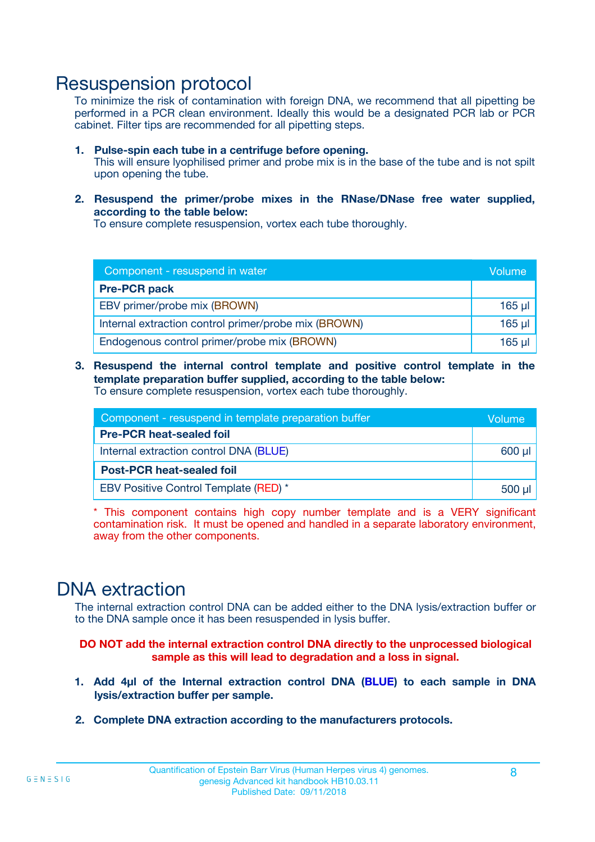### Resuspension protocol

To minimize the risk of contamination with foreign DNA, we recommend that all pipetting be performed in a PCR clean environment. Ideally this would be a designated PCR lab or PCR cabinet. Filter tips are recommended for all pipetting steps.

- **1. Pulse-spin each tube in a centrifuge before opening.** This will ensure lyophilised primer and probe mix is in the base of the tube and is not spilt upon opening the tube.
- **2. Resuspend the primer/probe mixes in the RNase/DNase free water supplied, according to the table below:**

To ensure complete resuspension, vortex each tube thoroughly.

| Component - resuspend in water                       |          |  |
|------------------------------------------------------|----------|--|
| <b>Pre-PCR pack</b>                                  |          |  |
| EBV primer/probe mix (BROWN)                         | $165$ µ  |  |
| Internal extraction control primer/probe mix (BROWN) | $165$ µl |  |
| Endogenous control primer/probe mix (BROWN)          | 165 µl   |  |

**3. Resuspend the internal control template and positive control template in the template preparation buffer supplied, according to the table below:** To ensure complete resuspension, vortex each tube thoroughly.

| Component - resuspend in template preparation buffer |          |  |  |
|------------------------------------------------------|----------|--|--|
| <b>Pre-PCR heat-sealed foil</b>                      |          |  |  |
| Internal extraction control DNA (BLUE)               |          |  |  |
| <b>Post-PCR heat-sealed foil</b>                     |          |  |  |
| EBV Positive Control Template (RED) *                | $500$ µl |  |  |

\* This component contains high copy number template and is a VERY significant contamination risk. It must be opened and handled in a separate laboratory environment, away from the other components.

### DNA extraction

The internal extraction control DNA can be added either to the DNA lysis/extraction buffer or to the DNA sample once it has been resuspended in lysis buffer.

**DO NOT add the internal extraction control DNA directly to the unprocessed biological sample as this will lead to degradation and a loss in signal.**

- **1. Add 4µl of the Internal extraction control DNA (BLUE) to each sample in DNA lysis/extraction buffer per sample.**
- **2. Complete DNA extraction according to the manufacturers protocols.**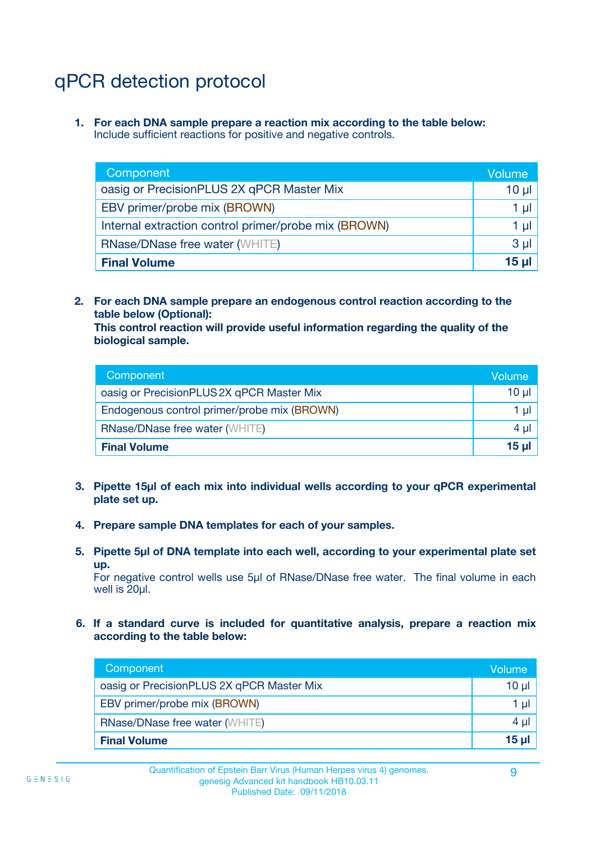## qPCR detection protocol

**1. For each DNA sample prepare a reaction mix according to the table below:** Include sufficient reactions for positive and negative controls.

| Component                                            | Volume   |
|------------------------------------------------------|----------|
| oasig or PrecisionPLUS 2X qPCR Master Mix            | $10 \mu$ |
| EBV primer/probe mix (BROWN)                         | 1 µI     |
| Internal extraction control primer/probe mix (BROWN) | 1 µl     |
| <b>RNase/DNase free water (WHITE)</b>                | $3 \mu$  |
| <b>Final Volume</b>                                  | 15 µl    |

**2. For each DNA sample prepare an endogenous control reaction according to the table below (Optional):**

**This control reaction will provide useful information regarding the quality of the biological sample.**

| Component                                   | Volume   |
|---------------------------------------------|----------|
| oasig or PrecisionPLUS 2X qPCR Master Mix   | $10 \mu$ |
| Endogenous control primer/probe mix (BROWN) | 1 µI     |
| <b>RNase/DNase free water (WHITE)</b>       | $4 \mu$  |
| <b>Final Volume</b>                         | 15 µl    |

- **3. Pipette 15µl of each mix into individual wells according to your qPCR experimental plate set up.**
- **4. Prepare sample DNA templates for each of your samples.**
- **5. Pipette 5µl of DNA template into each well, according to your experimental plate set up.**

For negative control wells use 5µl of RNase/DNase free water. The final volume in each well is 20ul.

**6. If a standard curve is included for quantitative analysis, prepare a reaction mix according to the table below:**

| Component                                 | Volume   |
|-------------------------------------------|----------|
| oasig or PrecisionPLUS 2X qPCR Master Mix | $10 \mu$ |
| EBV primer/probe mix (BROWN)              |          |
| <b>RNase/DNase free water (WHITE)</b>     | 4 µl     |
| <b>Final Volume</b>                       | 15 µl    |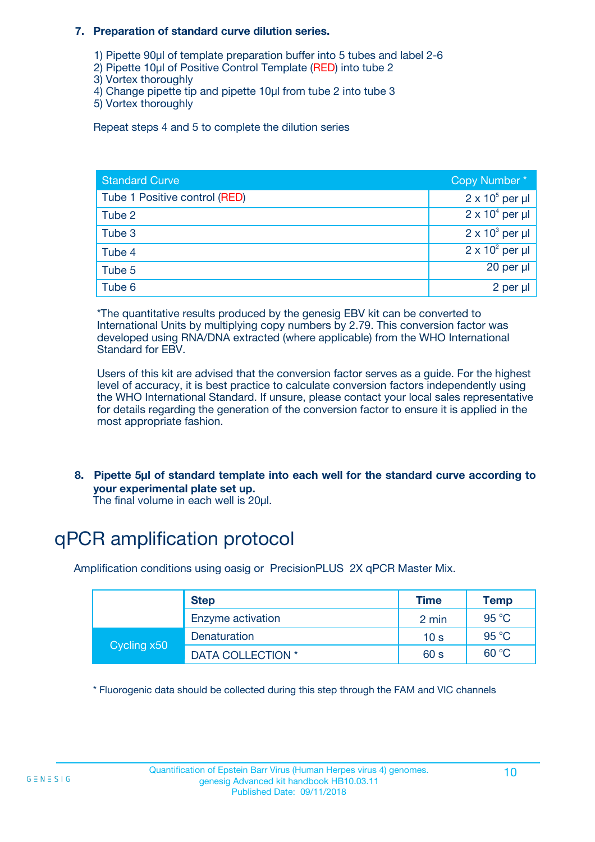#### **7. Preparation of standard curve dilution series.**

- 1) Pipette 90µl of template preparation buffer into 5 tubes and label 2-6
- 2) Pipette 10µl of Positive Control Template (RED) into tube 2
- 3) Vortex thoroughly
- 4) Change pipette tip and pipette 10µl from tube 2 into tube 3
- 5) Vortex thoroughly

Repeat steps 4 and 5 to complete the dilution series

| <b>Standard Curve</b>         | Copy Number*           |
|-------------------------------|------------------------|
| Tube 1 Positive control (RED) | $2 \times 10^5$ per µl |
| Tube 2                        | $2 \times 10^4$ per µl |
| Tube 3                        | $2 \times 10^3$ per µl |
| Tube 4                        | $2 \times 10^2$ per µl |
| Tube 5                        | 20 per µl              |
| Tube 6                        | 2 per µl               |

\*The quantitative results produced by the genesig EBV kit can be converted to International Units by multiplying copy numbers by 2.79. This conversion factor was developed using RNA/DNA extracted (where applicable) from the WHO International Standard for EBV.

Users of this kit are advised that the conversion factor serves as a guide. For the highest level of accuracy, it is best practice to calculate conversion factors independently using the WHO International Standard. If unsure, please contact your local sales representative for details regarding the generation of the conversion factor to ensure it is applied in the most appropriate fashion.

**8. Pipette 5µl of standard template into each well for the standard curve according to your experimental plate set up.**

The final volume in each well is 20µl.

## qPCR amplification protocol

Amplification conditions using oasig or PrecisionPLUS 2X qPCR Master Mix.

|             | <b>Step</b>       | <b>Time</b>     | Temp    |
|-------------|-------------------|-----------------|---------|
|             | Enzyme activation | 2 min           | 95 °C   |
| Cycling x50 | Denaturation      | 10 <sub>s</sub> | 95 $°C$ |
|             | DATA COLLECTION * | 60 s            | 60 °C   |

\* Fluorogenic data should be collected during this step through the FAM and VIC channels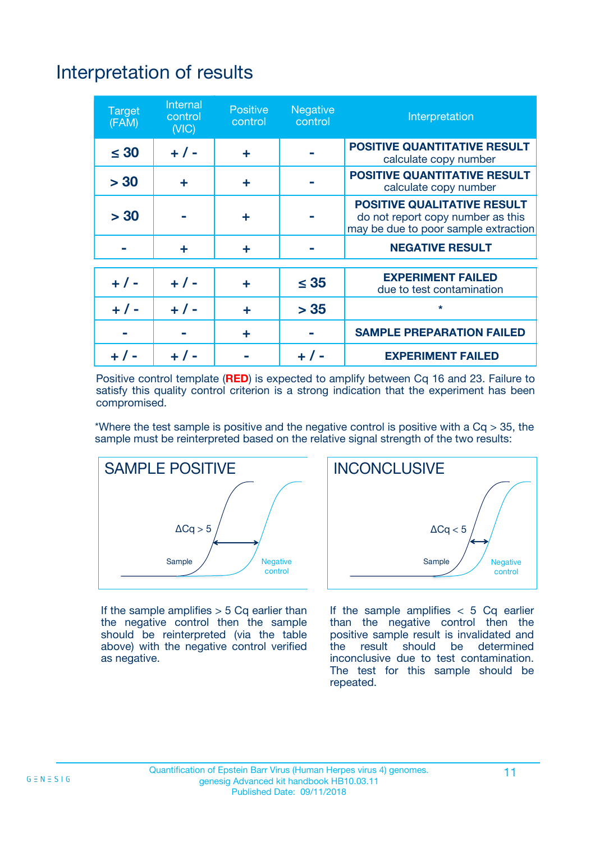## Interpretation of results

| <b>Target</b><br>(FAM) | <b>Internal</b><br>control<br>(NIC) | <b>Positive</b><br>control | <b>Negative</b><br>control | Interpretation                                                                                                  |
|------------------------|-------------------------------------|----------------------------|----------------------------|-----------------------------------------------------------------------------------------------------------------|
| $\leq 30$              | $+ 1 -$                             | ÷                          |                            | <b>POSITIVE QUANTITATIVE RESULT</b><br>calculate copy number                                                    |
| > 30                   | ٠                                   | ÷                          |                            | <b>POSITIVE QUANTITATIVE RESULT</b><br>calculate copy number                                                    |
| > 30                   |                                     | ÷                          |                            | <b>POSITIVE QUALITATIVE RESULT</b><br>do not report copy number as this<br>may be due to poor sample extraction |
|                        | ٠                                   | ÷                          |                            | <b>NEGATIVE RESULT</b>                                                                                          |
| $+ 1 -$                | $+ 1 -$                             | ÷                          | $\leq 35$                  | <b>EXPERIMENT FAILED</b><br>due to test contamination                                                           |
| $+ 1 -$                | $+ 1 -$                             | ÷                          | > 35                       | $\star$                                                                                                         |
|                        |                                     | ÷                          |                            | <b>SAMPLE PREPARATION FAILED</b>                                                                                |
|                        |                                     |                            | $+$ /                      | <b>EXPERIMENT FAILED</b>                                                                                        |

Positive control template (**RED**) is expected to amplify between Cq 16 and 23. Failure to satisfy this quality control criterion is a strong indication that the experiment has been compromised.

\*Where the test sample is positive and the negative control is positive with a  $Ca > 35$ , the sample must be reinterpreted based on the relative signal strength of the two results:



If the sample amplifies  $> 5$  Cq earlier than the negative control then the sample should be reinterpreted (via the table above) with the negative control verified as negative.



If the sample amplifies  $< 5$  Cq earlier than the negative control then the positive sample result is invalidated and<br>the result should be determined  $the$  result should be inconclusive due to test contamination. The test for this sample should be repeated.